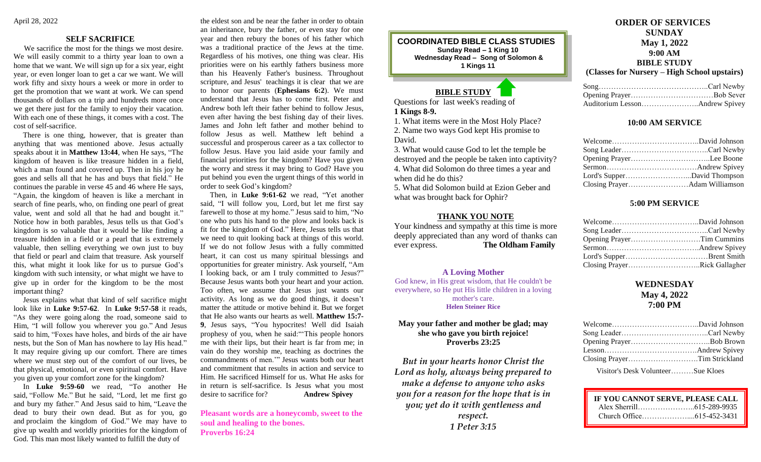# **SELF SACRIFICE**

 We sacrifice the most for the things we most desire. We will easily commit to a thirty year loan to own a home that we want. We will sign up for a six year, eight year, or even longer loan to get a car we want. We will work fifty and sixty hours a week or more in order to get the promotion that we want at work. We can spend thousands of dollars on a trip and hundreds more once we get there just for the family to enjoy their vacation. With each one of these things, it comes with a cost. The cost of self-sacrifice.

 There is one thing, however, that is greater than anything that was mentioned above. Jesus actually speaks about it in **Matthew 13:44**, when He says, "The kingdom of heaven is like treasure hidden in a field, which a man found and covered up. Then in his joy he goes and sells all that he has and buys that field." He continues the parable in verse 45 and 46 where He says, "Again, the kingdom of heaven is like a merchant in search of fine pearls, who, on finding one pearl of great value, went and sold all that he had and bought it." Notice how in both parables, Jesus tells us that God's kingdom is so valuable that it would be like finding a treasure hidden in a field or a pearl that is extremely valuable, then selling everything we own just to buy that field or pearl and claim that treasure. Ask yourself this, what might it look like for us to pursue God's kingdom with such intensity, or what might we have to give up in order for the kingdom to be the most important thing?

 Jesus explains what that kind of self sacrifice might look like in **Luke 9:57-62**. In **Luke 9:57-58** it reads, "As they were going along the road, someone said to Him, "I will follow you wherever you go." And Jesus said to him, "Foxes have holes, and birds of the air have nests, but the Son of Man has nowhere to lay His head." It may require giving up our comfort. There are times where we must step out of the comfort of our lives, be that physical, emotional, or even spiritual comfort. Have you given up your comfort zone for the kingdom?

 In **Luke 9:59-60** we read, "To another He said, "Follow Me." But he said, "Lord, let me first go and bury my father." And Jesus said to him, "Leave the dead to bury their own dead. But as for you, go and proclaim the kingdom of God." We may have to give up wealth and worldly priorities for the kingdom of God. This man most likely wanted to fulfill the duty of

the eldest son and be near the father in order to obtain an inheritance, bury the father, or even stay for one year and then rebury the bones of his father which was a traditional practice of the Jews at the time. Regardless of his motives, one thing was clear. His priorities were on his earthly fathers business more than his Heavenly Father's business. Throughout scripture, and Jesus' teachings it is clear that we are to honor our parents (**Ephesians 6:2**). We must understand that Jesus has to come first. Peter and Andrew both left their father behind to follow Jesus, even after having the best fishing day of their lives. James and John left father and mother behind to follow Jesus as well. Matthew left behind a successful and prosperous career as a tax collector to follow Jesus. Have you laid aside your family and financial priorities for the kingdom? Have you given the worry and stress it may bring to God? Have you put behind you even the urgent things of this world in order to seek God's kingdom?

 Then, in **Luke 9:61-62** we read, "Yet another said, "I will follow you, Lord, but let me first say farewell to those at my home." Jesus said to him, "No one who puts his hand to the plow and looks back is fit for the kingdom of God." Here, Jesus tells us that we need to quit looking back at things of this world. If we do not follow Jesus with a fully committed heart, it can cost us many spiritual blessings and opportunities for greater ministry. Ask yourself, "Am I looking back, or am I truly committed to Jesus?" Because Jesus wants both your heart and your action. Too often, we assume that Jesus just wants our activity. As long as we do good things, it doesn't matter the attitude or motive behind it. But we forget that He also wants our hearts as well. **Matthew 15:7- 9**, Jesus says, "You hypocrites! Well did Isaiah prophesy of you, when he said:"'This people honors me with their lips, but their heart is far from me; in vain do they worship me, teaching as doctrines the commandments of men.'" Jesus wants both our heart and commitment that results in action and service to Him. He sacrificed Himself for us. What He asks for in return is self-sacrifice. Is Jesus what you most desire to sacrifice for? **Andrew Spivey**

**Pleasant words are a honeycomb, sweet to the soul and healing to the bones. Proverbs 16:24**

**COORDINATED BIBLE CLASS STUDIES Sunday Read – 1 King 10 Wednesday Read – Song of Solomon & 1 Kings 11**

# **BIBLE STUDY**

Questions for last week's reading of **1 Kings 8-9.**

 $\overline{a}$ 

1. What items were in the Most Holy Place? 2. Name two ways God kept His promise to David.

3. What would cause God to let the temple be destroyed and the people be taken into captivity? 4. What did Solomon do three times a year and when did he do this?

5. What did Solomon build at Ezion Geber and what was brought back for Ophir?

### **THANK YOU NOTE**

Your kindness and sympathy at this time is more deeply appreciated than any word of thanks can ever express. **The Oldham Family**

## **A Loving Mother**

God knew, in His great wisdom, that He couldn't be everywhere, so He put His little children in a loving mother's care. **Helen Steiner Rice**

**May your father and mother be glad; may she who gave you birth rejoice! Proverbs 23:25**

*But in your hearts honor Christ the Lord as holy, always being prepared to make a defense to anyone who asks you for a reason for the hope that is in you; yet do it with gentleness and respect. 1 Peter 3:15*

# **ORDER OF SERVICES SUNDAY May 1, 2022 9:00 AM BIBLE STUDY (Classes for Nursery – High School upstairs)**

# **10:00 AM SERVICE**

| Opening PrayerLee Boone |  |
|-------------------------|--|
|                         |  |
|                         |  |
|                         |  |

# **5:00 PM SERVICE**

| Opening PrayerTim Cummins    |  |
|------------------------------|--|
|                              |  |
|                              |  |
| Closing PrayerRick Gallagher |  |

# **WEDNESDAY May 4, 2022 7:00 PM**

| Closing PrayerTim Strickland                                                                                                                                                                                                                                                                                                                             |  |
|----------------------------------------------------------------------------------------------------------------------------------------------------------------------------------------------------------------------------------------------------------------------------------------------------------------------------------------------------------|--|
| $\mathbf{X} \mathbf{I}^{\prime}$ , $\mathbf{I} \mathbf{I}$ , $\mathbf{I} \mathbf{I}$ , $\mathbf{I} \mathbf{I}$ , $\mathbf{I} \mathbf{I}$ , $\mathbf{I} \mathbf{I}$ , $\mathbf{I} \mathbf{I}$ , $\mathbf{I} \mathbf{I}$ , $\mathbf{I} \mathbf{I}$ , $\mathbf{I} \mathbf{I}$ , $\mathbf{I} \mathbf{I}$ , $\mathbf{I} \mathbf{I}$ , $\mathbf{I} \mathbf{I}$ |  |

Visitor's Desk Volunteer………Sue Kloes

| IF YOU CANNOT SERVE, PLEASE CALL |  |
|----------------------------------|--|
|                                  |  |
|                                  |  |

 $\overline{a}$